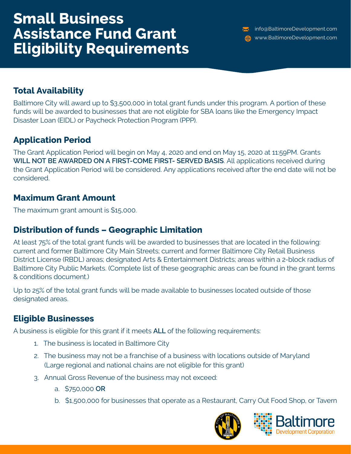# **Small Business Assistance Fund Grant Eligibility Requirements**

info@BaltimoreDevelopment.com www.BaltimoreDevelopment.com

### **Total Availability**

Baltimore City will award up to \$3,500,000 in total grant funds under this program. A portion of these funds will be awarded to businesses that are not eligible for SBA loans like the Emergency Impact Disaster Loan (EIDL) or Paycheck Protection Program (PPP).

### **Application Period**

The Grant Application Period will begin on May 4, 2020 and end on May 15, 2020 at 11:59PM. Grants **WILL NOT BE AWARDED ON A FIRST-COME FIRST- SERVED BASIS**. All applications received during the Grant Application Period will be considered. Any applications received after the end date will not be considered.

#### **Maximum Grant Amount**

The maximum grant amount is \$15,000.

#### **Distribution of funds – Geographic Limitation**

At least 75% of the total grant funds will be awarded to businesses that are located in the following: current and former Baltimore City Main Streets; current and former Baltimore City Retail Business District License (RBDL) areas; designated Arts & Entertainment Districts; areas within a 2-block radius of Baltimore City Public Markets. (Complete list of these geographic areas can be found in the grant terms & conditions document.)

Up to 25% of the total grant funds will be made available to businesses located outside of those designated areas.

## **Eligible Businesses**

A business is eligible for this grant if it meets **ALL** of the following requirements:

- 1. The business is located in Baltimore City
- 2. The business may not be a franchise of a business with locations outside of Maryland (Large regional and national chains are not eligible for this grant)
- 3. Annual Gross Revenue of the business may not exceed:
	- a. \$750,000 **OR**
	- b. \$1,500,000 for businesses that operate as a Restaurant, Carry Out Food Shop, or Tavern